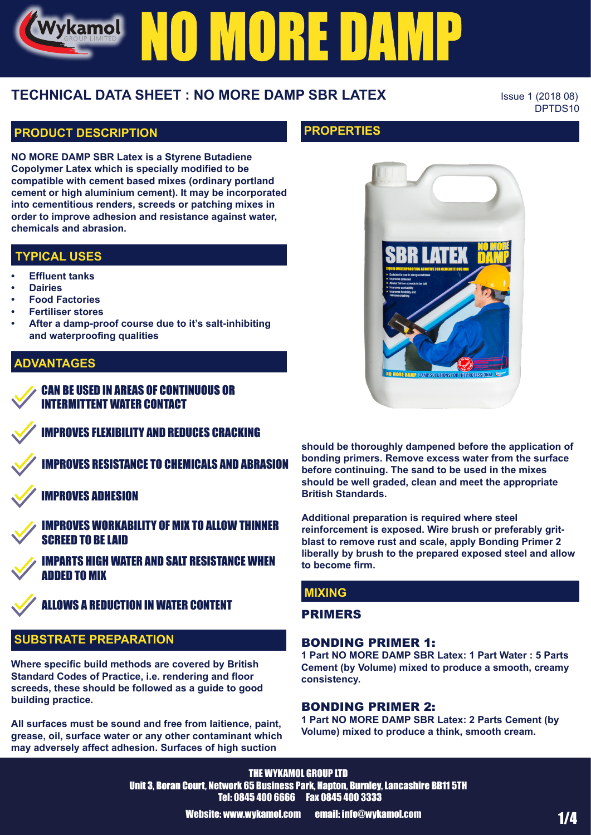# Vykamol NO MORE DAMP

## **TECHNICAL DATA SHEET : NO MORE DAMP SBR LATEX** ISSUE 1 (2018 08)

DPTDS10

#### **PRODUCT DESCRIPTION**

**NO MORE DAMP SBR Latex is a Styrene Butadiene Copolymer Latex which is specially modified to be compatible with cement based mixes (ordinary portland cement or high aluminium cement). It may be incorporated into cementitious renders, screeds or patching mixes in order to improve adhesion and resistance against water, chemicals and abrasion.**

#### **TYPICAL USES**

- **• Effluent tanks**
- **• Dairies**
- **• Food Factories**
- **• Fertiliser stores**
- **• After a damp-proof course due to it's salt-inhibiting and waterproofing qualities**

#### **ADVANTAGES**

CAN BE USED IN AREAS OF CONTINUOUS OR INTERMITTENT WATER CONTACT

IMPROVES FLEXIBILITY AND REDUCES CRACKING

IMPROVES RESISTANCE TO CHEMICALS AND ABRASION

IMPROVES ADHESION



IMPROVES WORKABILITY OF MIX TO ALLOW THINNER SCREED TO BE LAID

IMPARTS HIGH WATER AND SALT RESISTANCE WHEN ADDED TO MIX

ALLOWS A REDUCTION IN WATER CONTENT

#### **SUBSTRATE PREPARATION**

**Where specific build methods are covered by British Standard Codes of Practice, i.e. rendering and floor screeds, these should be followed as a guide to good building practice.**

**All surfaces must be sound and free from laitience, paint, grease, oil, surface water or any other contaminant which may adversely affect adhesion. Surfaces of high suction** 

#### **PROPERTIES**



**should be thoroughly dampened before the application of bonding primers. Remove excess water from the surface before continuing. The sand to be used in the mixes should be well graded, clean and meet the appropriate British Standards.**

**Additional preparation is required where steel reinforcement is exposed. Wire brush or preferably gritblast to remove rust and scale, apply Bonding Primer 2 liberally by brush to the prepared exposed steel and allow to become firm.**

#### **MIXING**

#### PRIMERS

#### BONDING PRIMER 1:

**1 Part NO MORE DAMP SBR Latex: 1 Part Water : 5 Parts Cement (by Volume) mixed to produce a smooth, creamy consistency.**

#### BONDING PRIMER 2:

**1 Part NO MORE DAMP SBR Latex: 2 Parts Cement (by Volume) mixed to produce a think, smooth cream.**

THE WYKAMOL GROUP LTD Unit 3, Boran Court, Network 65 Business Park, Hapton, Burnley, Lancashire BB11 5TH Tel: 0845 400 6666 Fax 0845 400 3333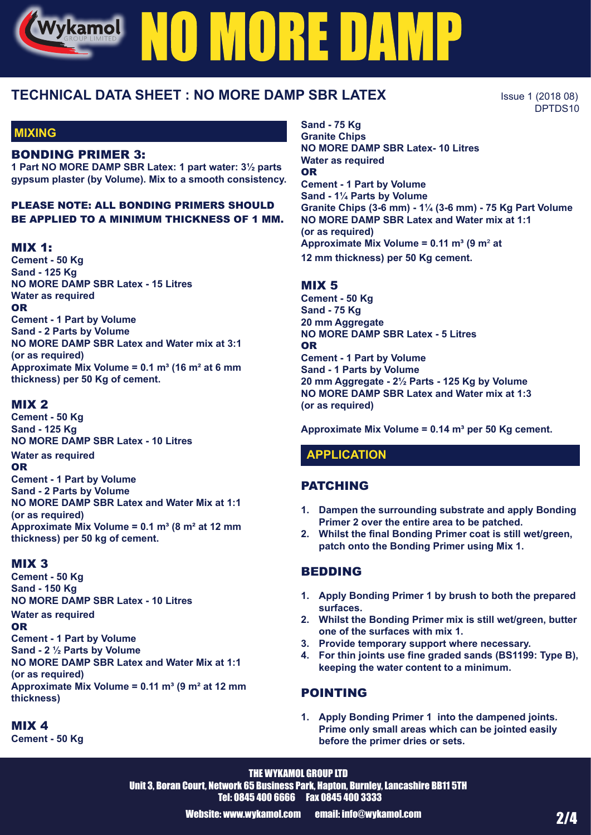# Vykamol NO MORE DAMP

### **TECHNICAL DATA SHEET : NO MORE DAMP SBR LATEX** ISSUE 1 (2018 08)

**MIXING**

#### BONDING PRIMER 3:

**1 Part NO MORE DAMP SBR Latex: 1 part water: 3½ parts gypsum plaster (by Volume). Mix to a smooth consistency.** 

#### PLEASE NOTE: ALL BONDING PRIMERS SHOULD BE APPLIED TO A MINIMUM THICKNESS OF 1 MM.

#### MIX 1:

**Cement - 50 Kg Sand - 125 Kg NO MORE DAMP SBR Latex - 15 Litres Water as required** OR **Cement - 1 Part by Volume Sand - 2 Parts by Volume NO MORE DAMP SBR Latex and Water mix at 3:1 (or as required) Approximate Mix Volume = 0.1 m³ (16 m² at 6 mm thickness) per 50 Kg of cement.**

#### MIX 2

**Cement - 50 Kg Sand - 125 Kg NO MORE DAMP SBR Latex - 10 Litres Water as required** OR **Cement - 1 Part by Volume Sand - 2 Parts by Volume NO MORE DAMP SBR Latex and Water Mix at 1:1 (or as required) Approximate Mix Volume = 0.1 m³ (8 m² at 12 mm thickness) per 50 kg of cement.**

#### MIX 3

**Cement - 50 Kg Sand - 150 Kg NO MORE DAMP SBR Latex - 10 Litres**

**Water as required**

OR **Cement - 1 Part by Volume Sand - 2 ½ Parts by Volume NO MORE DAMP SBR Latex and Water Mix at 1:1 (or as required) Approximate Mix Volume = 0.11 m³ (9 m² at 12 mm thickness)**

#### MIX 4

**Cement - 50 Kg**

**Sand - 75 Kg Granite Chips NO MORE DAMP SBR Latex- 10 Litres Water as required** OR **Cement - 1 Part by Volume Sand - 1¼ Parts by Volume Granite Chips (3-6 mm) - 1¼ (3-6 mm) - 75 Kg Part Volume NO MORE DAMP SBR Latex and Water mix at 1:1 (or as required) Approximate Mix Volume = 0.11 m³ (9 m**² **at 12 mm thickness) per 50 Kg cement.**

#### MIX 5

**Cement - 50 Kg Sand - 75 Kg 20 mm Aggregate NO MORE DAMP SBR Latex - 5 Litres** OR **Cement - 1 Part by Volume Sand - 1 Parts by Volume 20 mm Aggregate - 2½ Parts - 125 Kg by Volume NO MORE DAMP SBR Latex and Water mix at 1:3 (or as required)**

**Approximate Mix Volume = 0.14 m³ per 50 Kg cement.**

#### **APPLICATION**

#### PATCHING

- **1. Dampen the surrounding substrate and apply Bonding Primer 2 over the entire area to be patched.**
- **2. Whilst the final Bonding Primer coat is still wet/green, patch onto the Bonding Primer using Mix 1.**

#### BEDDING

- **1. Apply Bonding Primer 1 by brush to both the prepared surfaces.**
- **2. Whilst the Bonding Primer mix is still wet/green, butter one of the surfaces with mix 1.**
- **3. Provide temporary support where necessary.**
- **4. For thin joints use fine graded sands (BS1199: Type B), keeping the water content to a minimum.**

#### POINTING

**1. Apply Bonding Primer 1 into the dampened joints. Prime only small areas which can be jointed easily before the primer dries or sets.** 

THE WYKAMOL GROUP LTD Unit 3, Boran Court, Network 65 Business Park, Hapton, Burnley, Lancashire BB11 5TH Tel: 0845 400 6666 Fax 0845 400 3333

DPTDS10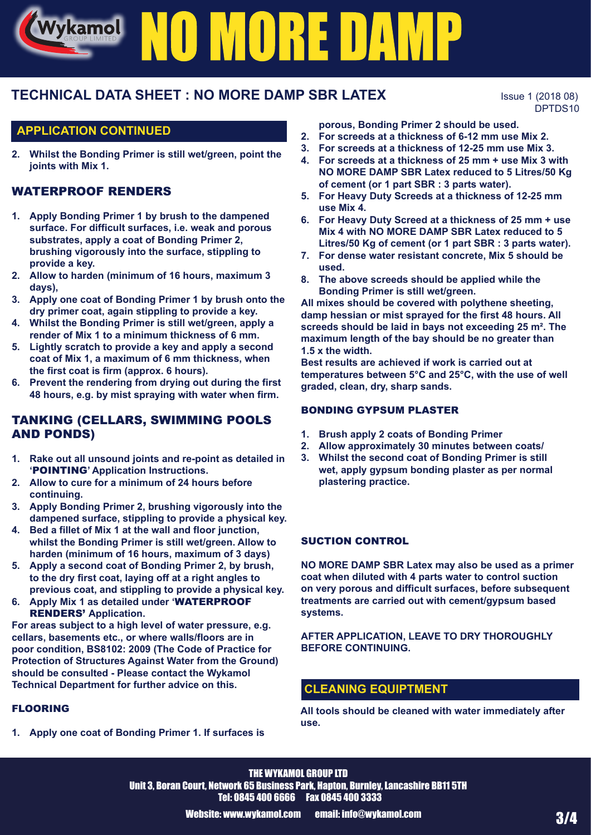# Vykamol NO MORE DAMP

## **TECHNICAL DATA SHEET : NO MORE DAMP SBR LATEX** ISSUE 1 (2018 08)

DPTDS10

#### **APPLICATION CONTINUED**

**2. Whilst the Bonding Primer is still wet/green, point the joints with Mix 1.**

#### WATERPROOF RENDERS

- **1. Apply Bonding Primer 1 by brush to the dampened surface. For difficult surfaces, i.e. weak and porous substrates, apply a coat of Bonding Primer 2, brushing vigorously into the surface, stippling to provide a key.**
- **2. Allow to harden (minimum of 16 hours, maximum 3 days),**
- **3. Apply one coat of Bonding Primer 1 by brush onto the dry primer coat, again stippling to provide a key.**
- **4. Whilst the Bonding Primer is still wet/green, apply a render of Mix 1 to a minimum thickness of 6 mm.**
- **5. Lightly scratch to provide a key and apply a second coat of Mix 1, a maximum of 6 mm thickness, when the first coat is firm (approx. 6 hours).**
- **6. Prevent the rendering from drying out during the first 48 hours, e.g. by mist spraying with water when firm.**

#### TANKING (CELLARS, SWIMMING POOLS AND PONDS)

- **1. Rake out all unsound joints and re-point as detailed in '**POINTING**' Application Instructions.**
- **2. Allow to cure for a minimum of 24 hours before continuing.**
- **3. Apply Bonding Primer 2, brushing vigorously into the dampened surface, stippling to provide a physical key.**
- **4. Bed a fillet of Mix 1 at the wall and floor junction, whilst the Bonding Primer is still wet/green. Allow to harden (minimum of 16 hours, maximum of 3 days)**
- **5. Apply a second coat of Bonding Primer 2, by brush, to the dry first coat, laying off at a right angles to previous coat, and stippling to provide a physical key.**
- **6. Apply Mix 1 as detailed under '**WATERPROOF RENDERS' **Application.**

**For areas subject to a high level of water pressure, e.g. cellars, basements etc., or where walls/floors are in poor condition, BS8102: 2009 (The Code of Practice for Protection of Structures Against Water from the Ground) should be consulted - Please contact the Wykamol Technical Department for further advice on this.**

#### FLOORING

**1. Apply one coat of Bonding Primer 1. If surfaces is** 

**porous, Bonding Primer 2 should be used.**

- **2. For screeds at a thickness of 6-12 mm use Mix 2.**
- **3. For screeds at a thickness of 12-25 mm use Mix 3.**
- **4. For screeds at a thickness of 25 mm + use Mix 3 with NO MORE DAMP SBR Latex reduced to 5 Litres/50 Kg of cement (or 1 part SBR : 3 parts water).**
- **5. For Heavy Duty Screeds at a thickness of 12-25 mm use Mix 4.**
- **6. For Heavy Duty Screed at a thickness of 25 mm + use Mix 4 with NO MORE DAMP SBR Latex reduced to 5 Litres/50 Kg of cement (or 1 part SBR : 3 parts water).**
- **7. For dense water resistant concrete, Mix 5 should be used.**
- **8. The above screeds should be applied while the Bonding Primer is still wet/green.**

**All mixes should be covered with polythene sheeting, damp hessian or mist sprayed for the first 48 hours. All screeds should be laid in bays not exceeding 25 m². The maximum length of the bay should be no greater than 1.5 x the width.**

**Best results are achieved if work is carried out at temperatures between 5°C and 25°C, with the use of well graded, clean, dry, sharp sands.**

#### BONDING GYPSUM PLASTER

- **1. Brush apply 2 coats of Bonding Primer**
- **2. Allow approximately 30 minutes between coats/**
- **3. Whilst the second coat of Bonding Primer is still wet, apply gypsum bonding plaster as per normal plastering practice.**

#### SUCTION CONTROL

**NO MORE DAMP SBR Latex may also be used as a primer coat when diluted with 4 parts water to control suction on very porous and difficult surfaces, before subsequent treatments are carried out with cement/gypsum based systems.**

**AFTER APPLICATION, LEAVE TO DRY THOROUGHLY BEFORE CONTINUING.**

#### **CLEANING EQUIPTMENT**

**All tools should be cleaned with water immediately after use.**

THE WYKAMOL GROUP LTD Unit 3, Boran Court, Network 65 Business Park, Hapton, Burnley, Lancashire BB11 5TH Tel: 0845 400 6666 Fax 0845 400 3333